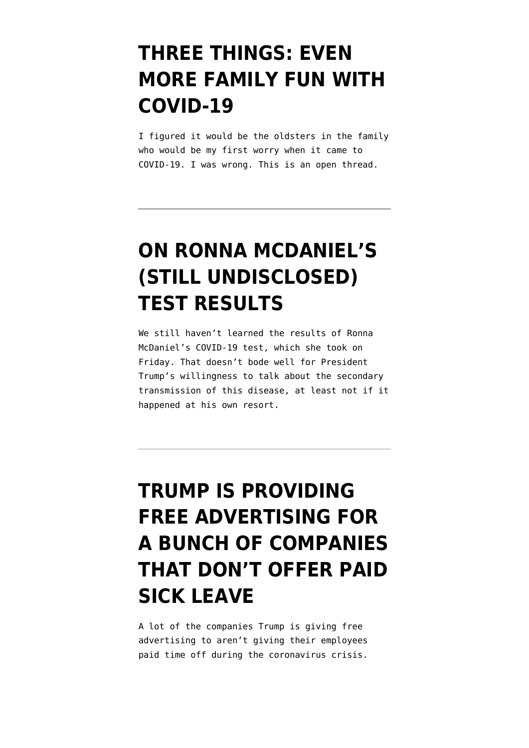## **[THREE THINGS: EVEN](https://www.emptywheel.net/2020/03/17/three-things-even-more-family-fun-with-covid-19/) [MORE FAMILY FUN WITH](https://www.emptywheel.net/2020/03/17/three-things-even-more-family-fun-with-covid-19/) [COVID-19](https://www.emptywheel.net/2020/03/17/three-things-even-more-family-fun-with-covid-19/)**

I figured it would be the oldsters in the family who would be my first worry when it came to COVID-19. I was wrong. This is an open thread.

### **[ON RONNA MCDANIEL'S](https://www.emptywheel.net/2020/03/17/on-ronna-mcdaniels-still-undisclosed-test-results/) [\(STILL UNDISCLOSED\)](https://www.emptywheel.net/2020/03/17/on-ronna-mcdaniels-still-undisclosed-test-results/) [TEST RESULTS](https://www.emptywheel.net/2020/03/17/on-ronna-mcdaniels-still-undisclosed-test-results/)**

We still haven't learned the results of Ronna McDaniel's COVID-19 test, which she took on Friday. That doesn't bode well for President Trump's willingness to talk about the secondary transmission of this disease, at least not if it happened at his own resort.

# **[TRUMP IS PROVIDING](https://www.emptywheel.net/2020/03/16/trump-is-providing-free-advertising-for-a-bunch-of-companies-that-dont-offer-paid-sick-leave/) [FREE ADVERTISING FOR](https://www.emptywheel.net/2020/03/16/trump-is-providing-free-advertising-for-a-bunch-of-companies-that-dont-offer-paid-sick-leave/) [A BUNCH OF COMPANIES](https://www.emptywheel.net/2020/03/16/trump-is-providing-free-advertising-for-a-bunch-of-companies-that-dont-offer-paid-sick-leave/) [THAT DON'T OFFER PAID](https://www.emptywheel.net/2020/03/16/trump-is-providing-free-advertising-for-a-bunch-of-companies-that-dont-offer-paid-sick-leave/) [SICK LEAVE](https://www.emptywheel.net/2020/03/16/trump-is-providing-free-advertising-for-a-bunch-of-companies-that-dont-offer-paid-sick-leave/)**

A lot of the companies Trump is giving free advertising to aren't giving their employees paid time off during the coronavirus crisis.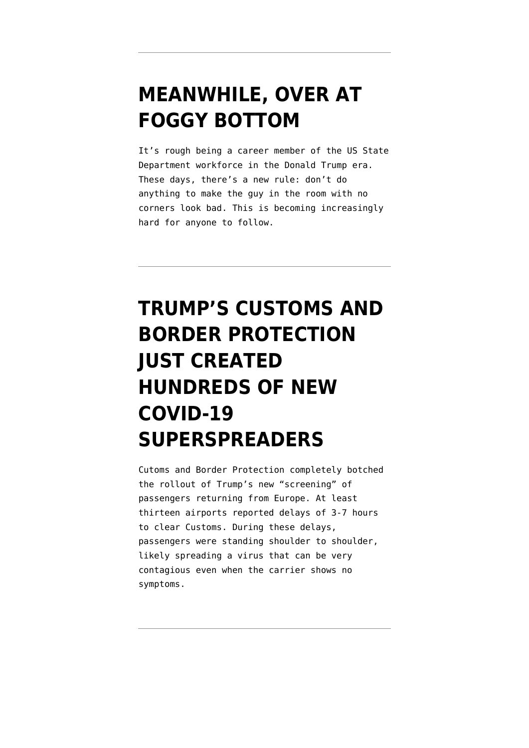### **[MEANWHILE, OVER AT](https://www.emptywheel.net/2020/03/15/meanwhile-over-at-foggy-bottom/) [FOGGY BOTTOM](https://www.emptywheel.net/2020/03/15/meanwhile-over-at-foggy-bottom/)**

It's rough being a career member of the US State Department workforce in the Donald Trump era. These days, there's a new rule: don't do anything to make the guy in the room with no corners look bad. This is becoming increasingly hard for anyone to follow.

# **[TRUMP'S CUSTOMS AND](https://www.emptywheel.net/2020/03/15/trumps-customs-and-border-protection-just-created-hundreds-of-new-covid-19-superspreaders/) [BORDER PROTECTION](https://www.emptywheel.net/2020/03/15/trumps-customs-and-border-protection-just-created-hundreds-of-new-covid-19-superspreaders/) [JUST CREATED](https://www.emptywheel.net/2020/03/15/trumps-customs-and-border-protection-just-created-hundreds-of-new-covid-19-superspreaders/) [HUNDREDS OF NEW](https://www.emptywheel.net/2020/03/15/trumps-customs-and-border-protection-just-created-hundreds-of-new-covid-19-superspreaders/) [COVID-19](https://www.emptywheel.net/2020/03/15/trumps-customs-and-border-protection-just-created-hundreds-of-new-covid-19-superspreaders/) [SUPERSPREADERS](https://www.emptywheel.net/2020/03/15/trumps-customs-and-border-protection-just-created-hundreds-of-new-covid-19-superspreaders/)**

Cutoms and Border Protection completely botched the rollout of Trump's new "screening" of passengers returning from Europe. At least thirteen airports reported delays of 3-7 hours to clear Customs. During these delays, passengers were standing shoulder to shoulder, likely spreading a virus that can be very contagious even when the carrier shows no symptoms.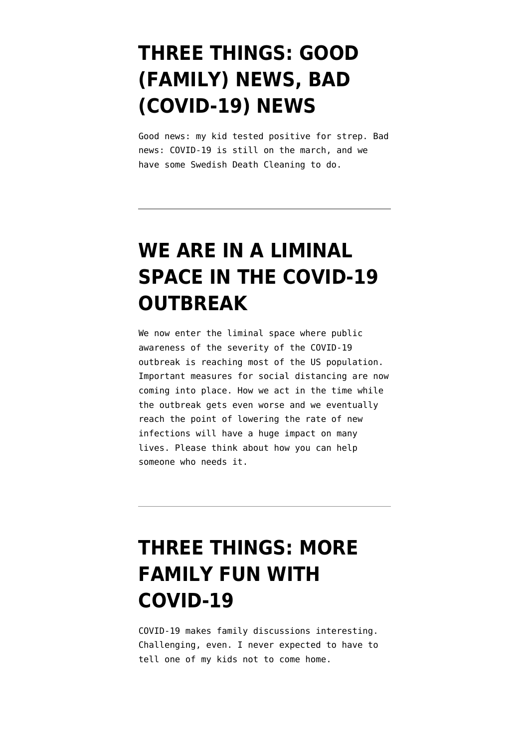## **[THREE THINGS: GOOD](https://www.emptywheel.net/2020/03/13/three-things-good-family-news-bad-covid-19-news/) [\(FAMILY\) NEWS, BAD](https://www.emptywheel.net/2020/03/13/three-things-good-family-news-bad-covid-19-news/) [\(COVID-19\) NEWS](https://www.emptywheel.net/2020/03/13/three-things-good-family-news-bad-covid-19-news/)**

Good news: my kid tested positive for strep. Bad news: COVID-19 is still on the march, and we have some Swedish Death Cleaning to do.

### **[WE ARE IN A LIMINAL](https://www.emptywheel.net/2020/03/12/we-are-in-a-liminal-space-in-the-covid-19-outbreak/) [SPACE IN THE COVID-19](https://www.emptywheel.net/2020/03/12/we-are-in-a-liminal-space-in-the-covid-19-outbreak/) [OUTBREAK](https://www.emptywheel.net/2020/03/12/we-are-in-a-liminal-space-in-the-covid-19-outbreak/)**

We now enter the liminal space where public awareness of the severity of the COVID-19 outbreak is reaching most of the US population. Important measures for social distancing are now coming into place. How we act in the time while the outbreak gets even worse and we eventually reach the point of lowering the rate of new infections will have a huge impact on many lives. Please think about how you can help someone who needs it.

### **[THREE THINGS: MORE](https://www.emptywheel.net/2020/03/11/three-things-more-family-fun-with-covid-19/) [FAMILY FUN WITH](https://www.emptywheel.net/2020/03/11/three-things-more-family-fun-with-covid-19/) [COVID-19](https://www.emptywheel.net/2020/03/11/three-things-more-family-fun-with-covid-19/)**

COVID-19 makes family discussions interesting. Challenging, even. I never expected to have to tell one of my kids not to come home.